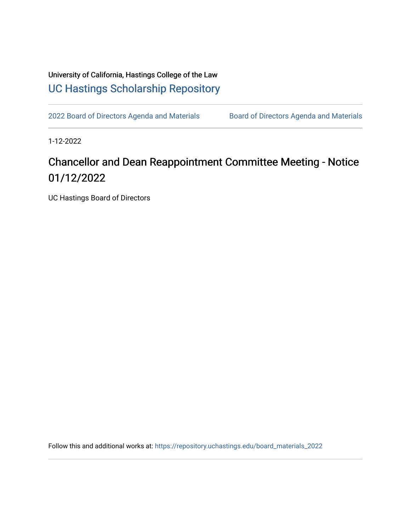University of California, Hastings College of the Law [UC Hastings Scholarship Repository](https://repository.uchastings.edu/) 

[2022 Board of Directors Agenda and Materials](https://repository.uchastings.edu/board_materials_2022) Board of Directors Agenda and Materials

1-12-2022

## Chancellor and Dean Reappointment Committee Meeting - Notice 01/12/2022

UC Hastings Board of Directors

Follow this and additional works at: [https://repository.uchastings.edu/board\\_materials\\_2022](https://repository.uchastings.edu/board_materials_2022?utm_source=repository.uchastings.edu%2Fboard_materials_2022%2F2&utm_medium=PDF&utm_campaign=PDFCoverPages)